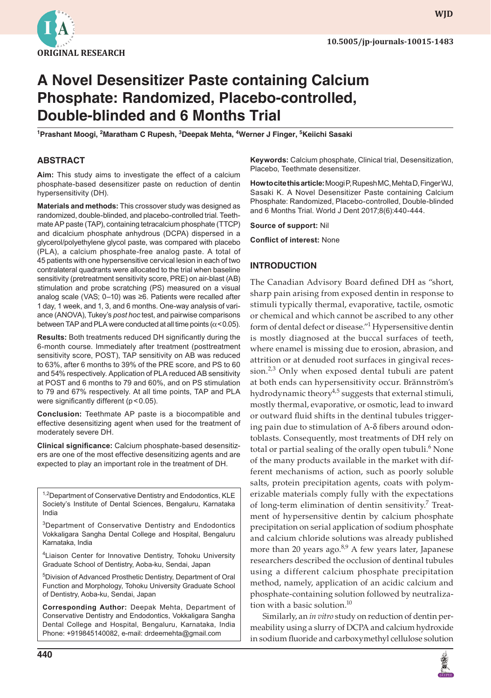

**wjd**

# **A Novel Desensitizer Paste containing Calcium Phosphate: Randomized, Placebo-controlled, Double-blinded and 6 Months Trial**

**1 Prashant Moogi, 2 Maratham C Rupesh, <sup>3</sup> Deepak Mehta, <sup>4</sup> Werner J Finger, 5 Keiichi Sasaki**

## **ABSTRACT**

**Aim:** This study aims to investigate the effect of a calcium phosphate-based desensitizer paste on reduction of dentin hypersensitivity (DH).

**Materials and methods:** This crossover study was designed as randomized, double-blinded, and placebo-controlled trial. Teethmate AP paste (TAP), containing tetracalcium phosphate (TTCP) and dicalcium phosphate anhydrous (DCPA) dispersed in a glycerol/polyethylene glycol paste, was compared with placebo (PLA), a calcium phosphate-free analog paste. A total of 45 patients with one hypersensitive cervical lesion in each of two contralateral quadrants were allocated to the trial when baseline sensitivity (pretreatment sensitivity score, PRE) on air-blast (AB) stimulation and probe scratching (PS) measured on a visual analog scale (VAS; 0–10) was ≥6. Patients were recalled after 1 day, 1 week, and 1, 3, and 6 months. One-way analysis of variance (ANOVA), Tukey's *post hoc* test, and pairwise comparisons between TAP and PLA were conducted at all time points ( $\alpha$ <0.05).

**Results:** Both treatments reduced DH significantly during the 6-month course. Immediately after treatment (posttreatment sensitivity score, POST), TAP sensitivity on AB was reduced to 63%, after 6 months to 39% of the PRE score, and PS to 60 and 54% respectively. Application of PLA reduced AB sensitivity at POST and 6 months to 79 and 60%, and on PS stimulation to 79 and 67% respectively. At all time points, TAP and PLA were significantly different (p < 0.05).

**Conclusion:** Teethmate AP paste is a biocompatible and effective desensitizing agent when used for the treatment of moderately severe DH.

**Clinical significance:** Calcium phosphate-based desensitizers are one of the most effective desensitizing agents and are expected to play an important role in the treatment of DH.

<sup>1,2</sup>Department of Conservative Dentistry and Endodontics, KLE Society's Institute of Dental Sciences, Bengaluru, Karnataka India

<sup>3</sup>Department of Conservative Dentistry and Endodontics Vokkaligara Sangha Dental College and Hospital, Bengaluru Karnataka, India

<sup>4</sup>Liaison Center for Innovative Dentistry, Tohoku University Graduate School of Dentistry, Aoba-ku, Sendai, Japan

5 Division of Advanced Prosthetic Dentistry, Department of Oral Function and Morphology, Tohoku University Graduate School of Dentistry, Aoba-ku, Sendai, Japan

**Corresponding Author:** Deepak Mehta, Department of Conservative Dentistry and Endodontics, Vokkaligara Sangha Dental College and Hospital, Bengaluru, Karnataka, India Phone: +919845140082, e-mail: drdeemehta@gmail.com

**Keywords:** Calcium phosphate, Clinical trial, Desensitization, Placebo, Teethmate desensitizer.

**How to cite this article:** Moogi P, Rupesh MC, Mehta D, Finger WJ, Sasaki K. A Novel Desensitizer Paste containing Calcium Phosphate: Randomized, Placebo-controlled, Double-blinded and 6 Months Trial. World J Dent 2017;8(6):440-444.

**Source of support:** Nil

**Conflict of interest:** None

### **INTRODUCTION**

The Canadian Advisory Board defined DH as "short, sharp pain arising from exposed dentin in response to stimuli typically thermal, evaporative, tactile, osmotic or chemical and which cannot be ascribed to any other form of dental defect or disease."<sup>1</sup> Hypersensitive dentin is mostly diagnosed at the buccal surfaces of teeth, where enamel is missing due to erosion, abrasion, and attrition or at denuded root surfaces in gingival recession. $2,3$  Only when exposed dental tubuli are patent at both ends can hypersensitivity occur. Brännström's hydrodynamic theory<sup>4,5</sup> suggests that external stimuli, mostly thermal, evaporative, or osmotic, lead to inward or outward fluid shifts in the dentinal tubules triggering pain due to stimulation of A-δ fibers around odontoblasts. Consequently, most treatments of DH rely on total or partial sealing of the orally open tubuli.<sup>6</sup> None of the many products available in the market with different mechanisms of action, such as poorly soluble salts, protein precipitation agents, coats with polymerizable materials comply fully with the expectations of long-term elimination of dentin sensitivity.<sup>7</sup> Treatment of hypersensitive dentin by calcium phosphate precipitation on serial application of sodium phosphate and calcium chloride solutions was already published more than 20 years ago.<sup>8,9</sup> A few years later, Japanese researchers described the occlusion of dentinal tubules using a different calcium phosphate precipitation method, namely, application of an acidic calcium and phosphate-containing solution followed by neutralization with a basic solution.<sup>10</sup>

Similarly, an *in vitro* study on reduction of dentin permeability using a slurry of DCPA and calcium hydroxide in sodium fluoride and carboxymethyl cellulose solution

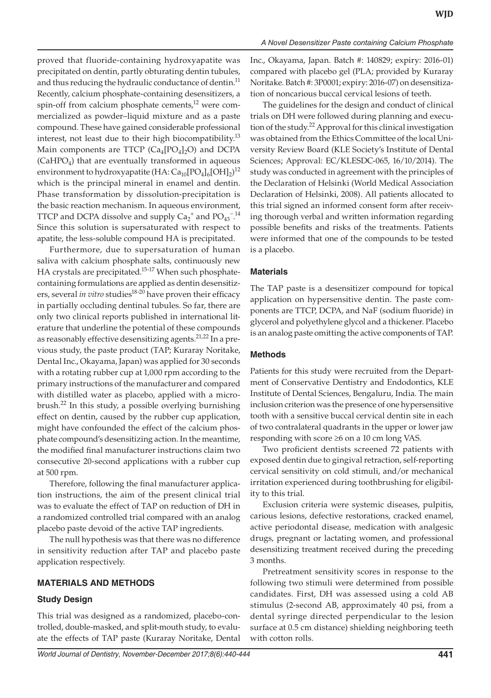proved that fluoride-containing hydroxyapatite was precipitated on dentin, partly obturating dentin tubules, and thus reducing the hydraulic conductance of dentin.<sup>11</sup> Recently, calcium phosphate-containing desensitizers, a spin-off from calcium phosphate cements,<sup>12</sup> were commercialized as powder–liquid mixture and as a paste compound. These have gained considerable professional interest, not least due to their high biocompatibility.<sup>13</sup> Main components are TTCP  $(Ca_4[PO_4]_2O)$  and DCPA  $(CaHPO<sub>4</sub>)$  that are eventually transformed in aqueous environment to hydroxyapatite (HA:  $\text{Ca}_{10}\text{[PO}_4\text{]}_6\text{[OH]}_2\text{)}^{12}$ which is the principal mineral in enamel and dentin. Phase transformation by dissolution-precipitation is the basic reaction mechanism. In aqueous environment, TTCP and DCPA dissolve and supply  $Ca_2^+$  and  $PO_{43}^{-14}$ Since this solution is supersaturated with respect to

apatite, the less-soluble compound HA is precipitated. Furthermore, due to supersaturation of human saliva with calcium phosphate salts, continuously new HA crystals are precipitated.<sup>15-17</sup> When such phosphatecontaining formulations are applied as dentin desensitizers, several *in vitro* studies<sup>18-20</sup> have proven their efficacy in partially occluding dentinal tubules. So far, there are only two clinical reports published in international literature that underline the potential of these compounds as reasonably effective desensitizing agents.<sup>21,22</sup> In a previous study, the paste product (TAP; Kuraray Noritake, Dental Inc., Okayama, Japan) was applied for 30 seconds with a rotating rubber cup at 1,000 rpm according to the primary instructions of the manufacturer and compared with distilled water as placebo, applied with a microbrush.22 In this study, a possible overlying burnishing effect on dentin, caused by the rubber cup application, might have confounded the effect of the calcium phosphate compound's desensitizing action. In the meantime, the modified final manufacturer instructions claim two consecutive 20-second applications with a rubber cup at 500 rpm.

Therefore, following the final manufacturer application instructions, the aim of the present clinical trial was to evaluate the effect of TAP on reduction of DH in a randomized controlled trial compared with an analog placebo paste devoid of the active TAP ingredients.

The null hypothesis was that there was no difference in sensitivity reduction after TAP and placebo paste application respectively.

#### **MATERIALS AND METHODS**

# **Study Design**

This trial was designed as a randomized, placebo-controlled, double-masked, and split-mouth study, to evaluate the effects of TAP paste (Kuraray Noritake, Dental Inc., Okayama, Japan. Batch #: 140829; expiry: 2016-01) compared with placebo gel (PLA; provided by Kuraray Noritake. Batch #: 3P0001; expiry: 2016-07) on desensitization of noncarious buccal cervical lesions of teeth.

The guidelines for the design and conduct of clinical trials on DH were followed during planning and execution of the study.<sup>22</sup> Approval for this clinical investigation was obtained from the Ethics Committee of the local University Review Board (KLE Society's Institute of Dental Sciences; Approval: EC/KLESDC-065, 16/10/2014). The study was conducted in agreement with the principles of the Declaration of Helsinki (World Medical Association Declaration of Helsinki, 2008). All patients allocated to this trial signed an informed consent form after receiving thorough verbal and written information regarding possible benefits and risks of the treatments. Patients were informed that one of the compounds to be tested is a placebo.

#### **Materials**

The TAP paste is a desensitizer compound for topical application on hypersensitive dentin. The paste components are TTCP, DCPA, and NaF (sodium fluoride) in glycerol and polyethylene glycol and a thickener. Placebo is an analog paste omitting the active components of TAP.

#### **Methods**

Patients for this study were recruited from the Department of Conservative Dentistry and Endodontics, KLE Institute of Dental Sciences, Bengaluru, India. The main inclusion criterion was the presence of one hypersensitive tooth with a sensitive buccal cervical dentin site in each of two contralateral quadrants in the upper or lower jaw responding with score ≥6 on a 10 cm long VAS.

Two proficient dentists screened 72 patients with exposed dentin due to gingival retraction, self-reporting cervical sensitivity on cold stimuli, and/or mechanical irritation experienced during toothbrushing for eligibility to this trial.

Exclusion criteria were systemic diseases, pulpitis, carious lesions, defective restorations, cracked enamel, active periodontal disease, medication with analgesic drugs, pregnant or lactating women, and professional desensitizing treatment received during the preceding 3 months.

Pretreatment sensitivity scores in response to the following two stimuli were determined from possible candidates. First, DH was assessed using a cold AB stimulus (2-second AB, approximately 40 psi, from a dental syringe directed perpendicular to the lesion surface at 0.5 cm distance) shielding neighboring teeth with cotton rolls.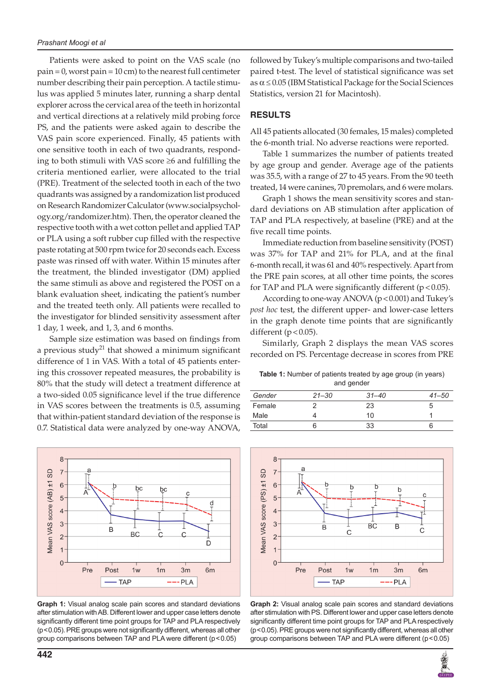Patients were asked to point on the VAS scale (no  $pain = 0$ , worst pain =  $10$  cm) to the nearest full centimeter number describing their pain perception. A tactile stimulus was applied 5 minutes later, running a sharp dental explorer across the cervical area of the teeth in horizontal and vertical directions at a relatively mild probing force PS, and the patients were asked again to describe the VAS pain score experienced. Finally, 45 patients with one sensitive tooth in each of two quadrants, responding to both stimuli with VAS score ≥6 and fulfilling the criteria mentioned earlier, were allocated to the trial (PRE). Treatment of the selected tooth in each of the two quadrants was assigned by a randomization list produced on Research Randomizer Calculator (www.socialpsychology.org/randomizer.htm). Then, the operator cleaned the respective tooth with a wet cotton pellet and applied TAP or PLA using a soft rubber cup filled with the respective paste rotating at 500 rpm twice for 20 seconds each. Excess paste was rinsed off with water. Within 15 minutes after the treatment, the blinded investigator (DM) applied the same stimuli as above and registered the POST on a blank evaluation sheet, indicating the patient's number and the treated teeth only. All patients were recalled to the investigator for blinded sensitivity assessment after 1 day, 1 week, and 1, 3, and 6 months.

Sample size estimation was based on findings from a previous study<sup>21</sup> that showed a minimum significant difference of 1 in VAS. With a total of 45 patients entering this crossover repeated measures, the probability is 80% that the study will detect a treatment difference at a two-sided 0.05 significance level if the true difference in VAS scores between the treatments is 0.5, assuming that within-patient standard deviation of the response is 0.7. Statistical data were analyzed by one-way ANOVA,



**Graph 1:** Visual analog scale pain scores and standard deviations after stimulation with AB. Different lower and upper case letters denote significantly different time point groups for TAP and PLA respectively (p<0.05). PRE groups were not significantly different, whereas all other group comparisons between TAP and PLA were different (p<0.05)

**442**

followed by Tukey's multiple comparisons and two-tailed paired t-test. The level of statistical significance was set as  $\alpha \leq 0.05$  (IBM Statistical Package for the Social Sciences Statistics, version 21 for Macintosh).

#### **RESULTS**

All 45 patients allocated (30 females, 15 males) completed the 6-month trial. No adverse reactions were reported.

Table 1 summarizes the number of patients treated by age group and gender. Average age of the patients was 35.5, with a range of 27 to 45 years. From the 90 teeth treated, 14 were canines, 70 premolars, and 6 were molars.

Graph 1 shows the mean sensitivity scores and standard deviations on AB stimulation after application of TAP and PLA respectively, at baseline (PRE) and at the five recall time points.

Immediate reduction from baseline sensitivity (POST) was 37% for TAP and 21% for PLA, and at the final 6-month recall, it was 61 and 40% respectively. Apart from the PRE pain scores, at all other time points, the scores for TAP and PLA were significantly different  $(p < 0.05)$ .

According to one-way ANOVA (p < 0.001) and Tukey's *post hoc* test, the different upper- and lower-case letters in the graph denote time points that are significantly different  $(p < 0.05)$ .

Similarly, Graph 2 displays the mean VAS scores recorded on PS. Percentage decrease in scores from PRE

**Table 1:** Number of patients treated by age group (in years) and gender

| Gender | $21 - 30$ | $31 - 40$ | $41 - 50$ |
|--------|-----------|-----------|-----------|
| Female |           | 23        |           |
| Male   |           | 10        |           |
| Total  |           | 33        |           |
|        |           |           |           |



**Graph 2:** Visual analog scale pain scores and standard deviations after stimulation with PS. Different lower and upper case letters denote significantly different time point groups for TAP and PLA respectively (p<0.05). PRE groups were not significantly different, whereas all other group comparisons between TAP and PLA were different (p<0.05)

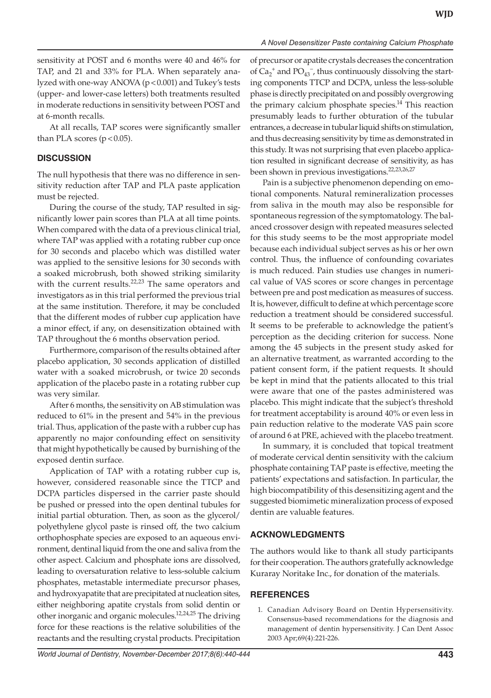sensitivity at POST and 6 months were 40 and 46% for TAP, and 21 and 33% for PLA. When separately analyzed with one-way ANOVA (p < 0.001) and Tukey's tests (upper- and lower-case letters) both treatments resulted in moderate reductions in sensitivity between POST and at 6-month recalls.

At all recalls, TAP scores were significantly smaller than PLA scores  $(p < 0.05)$ .

#### **DISCUSSION**

The null hypothesis that there was no difference in sensitivity reduction after TAP and PLA paste application must be rejected.

During the course of the study, TAP resulted in significantly lower pain scores than PLA at all time points. When compared with the data of a previous clinical trial, where TAP was applied with a rotating rubber cup once for 30 seconds and placebo which was distilled water was applied to the sensitive lesions for 30 seconds with a soaked microbrush, both showed striking similarity with the current results. $22,23$  The same operators and investigators as in this trial performed the previous trial at the same institution. Therefore, it may be concluded that the different modes of rubber cup application have a minor effect, if any, on desensitization obtained with TAP throughout the 6 months observation period.

Furthermore, comparison of the results obtained after placebo application, 30 seconds application of distilled water with a soaked microbrush, or twice 20 seconds application of the placebo paste in a rotating rubber cup was very similar.

After 6 months, the sensitivity on AB stimulation was reduced to 61% in the present and 54% in the previous trial. Thus, application of the paste with a rubber cup has apparently no major confounding effect on sensitivity that might hypothetically be caused by burnishing of the exposed dentin surface.

Application of TAP with a rotating rubber cup is, however, considered reasonable since the TTCP and DCPA particles dispersed in the carrier paste should be pushed or pressed into the open dentinal tubules for initial partial obturation. Then, as soon as the glycerol/ polyethylene glycol paste is rinsed off, the two calcium orthophosphate species are exposed to an aqueous environment, dentinal liquid from the one and saliva from the other aspect. Calcium and phosphate ions are dissolved, leading to oversaturation relative to less-soluble calcium phosphates, metastable intermediate precursor phases, and hydroxyapatite that are precipitated at nucleation sites, either neighboring apatite crystals from solid dentin or other inorganic and organic molecules.<sup>12,24,25</sup> The driving force for these reactions is the relative solubilities of the reactants and the resulting crystal products. Precipitation of precursor or apatite crystals decreases the concentration of  $Ca_2^+$  and  $PO_{43}^-$ , thus continuously dissolving the starting components TTCP and DCPA, unless the less-soluble phase is directly precipitated on and possibly overgrowing the primary calcium phosphate species. $14$  This reaction presumably leads to further obturation of the tubular entrances, a decrease in tubular liquid shifts on stimulation, and thus decreasing sensitivity by time as demonstrated in this study. It was not surprising that even placebo application resulted in significant decrease of sensitivity, as has been shown in previous investigations.<sup>22,23,26,27</sup>

Pain is a subjective phenomenon depending on emotional components. Natural remineralization processes from saliva in the mouth may also be responsible for spontaneous regression of the symptomatology. The balanced crossover design with repeated measures selected for this study seems to be the most appropriate model because each individual subject serves as his or her own control. Thus, the influence of confounding covariates is much reduced. Pain studies use changes in numerical value of VAS scores or score changes in percentage between pre and post medication as measures of success. It is, however, difficult to define at which percentage score reduction a treatment should be considered successful. It seems to be preferable to acknowledge the patient's perception as the deciding criterion for success. None among the 45 subjects in the present study asked for an alternative treatment, as warranted according to the patient consent form, if the patient requests. It should be kept in mind that the patients allocated to this trial were aware that one of the pastes administered was placebo. This might indicate that the subject's threshold for treatment acceptability is around 40% or even less in pain reduction relative to the moderate VAS pain score of around 6 at PRE, achieved with the placebo treatment.

In summary, it is concluded that topical treatment of moderate cervical dentin sensitivity with the calcium phosphate containing TAP paste is effective, meeting the patients' expectations and satisfaction. In particular, the high biocompatibility of this desensitizing agent and the suggested biomimetic mineralization process of exposed dentin are valuable features.

#### **ACKNOWLEDGMENTS**

The authors would like to thank all study participants for their cooperation. The authors gratefully acknowledge Kuraray Noritake Inc., for donation of the materials.

#### **REFERENCES**

1. Canadian Advisory Board on Dentin Hypersensitivity. Consensus-based recommendations for the diagnosis and management of dentin hypersensitivity. J Can Dent Assoc 2003 Apr;69(4):221-226.